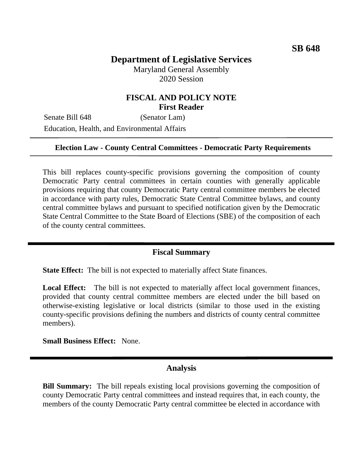# **Department of Legislative Services**

Maryland General Assembly 2020 Session

## **FISCAL AND POLICY NOTE First Reader**

Senate Bill 648 (Senator Lam) Education, Health, and Environmental Affairs

#### **Election Law - County Central Committees - Democratic Party Requirements**

This bill replaces county-specific provisions governing the composition of county Democratic Party central committees in certain counties with generally applicable provisions requiring that county Democratic Party central committee members be elected in accordance with party rules, Democratic State Central Committee bylaws, and county central committee bylaws and pursuant to specified notification given by the Democratic State Central Committee to the State Board of Elections (SBE) of the composition of each of the county central committees.

#### **Fiscal Summary**

**State Effect:** The bill is not expected to materially affect State finances.

Local Effect: The bill is not expected to materially affect local government finances, provided that county central committee members are elected under the bill based on otherwise-existing legislative or local districts (similar to those used in the existing county-specific provisions defining the numbers and districts of county central committee members).

**Small Business Effect:** None.

### **Analysis**

**Bill Summary:** The bill repeals existing local provisions governing the composition of county Democratic Party central committees and instead requires that, in each county, the members of the county Democratic Party central committee be elected in accordance with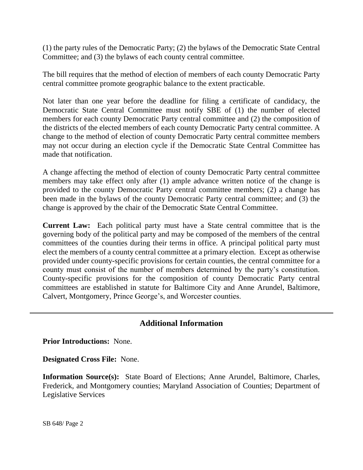(1) the party rules of the Democratic Party; (2) the bylaws of the Democratic State Central Committee; and (3) the bylaws of each county central committee.

The bill requires that the method of election of members of each county Democratic Party central committee promote geographic balance to the extent practicable.

Not later than one year before the deadline for filing a certificate of candidacy, the Democratic State Central Committee must notify SBE of (1) the number of elected members for each county Democratic Party central committee and (2) the composition of the districts of the elected members of each county Democratic Party central committee. A change to the method of election of county Democratic Party central committee members may not occur during an election cycle if the Democratic State Central Committee has made that notification.

A change affecting the method of election of county Democratic Party central committee members may take effect only after (1) ample advance written notice of the change is provided to the county Democratic Party central committee members; (2) a change has been made in the bylaws of the county Democratic Party central committee; and (3) the change is approved by the chair of the Democratic State Central Committee.

**Current Law:** Each political party must have a State central committee that is the governing body of the political party and may be composed of the members of the central committees of the counties during their terms in office. A principal political party must elect the members of a county central committee at a primary election. Except as otherwise provided under county-specific provisions for certain counties, the central committee for a county must consist of the number of members determined by the party's constitution. County-specific provisions for the composition of county Democratic Party central committees are established in statute for Baltimore City and Anne Arundel, Baltimore, Calvert, Montgomery, Prince George's, and Worcester counties.

## **Additional Information**

**Prior Introductions:** None.

**Designated Cross File:** None.

**Information Source(s):** State Board of Elections; Anne Arundel, Baltimore, Charles, Frederick, and Montgomery counties; Maryland Association of Counties; Department of Legislative Services